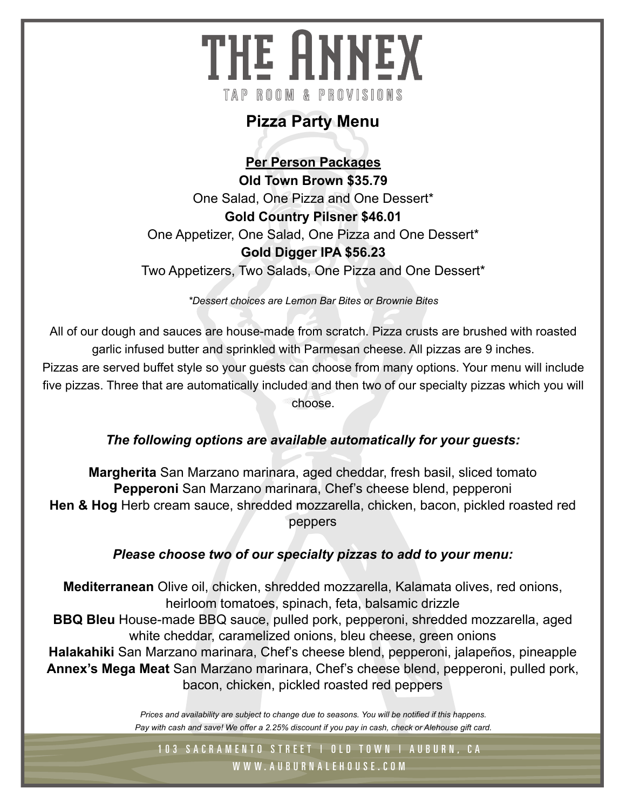# THE ANNEX TAP ROOM & PROVISIONS

## **Pizza Party Menu**

**Per Person Packages Old Town Brown \$35.79** One Salad, One Pizza and One Dessert\* **Gold Country Pilsner \$46.01** One Appetizer, One Salad, One Pizza and One Dessert\* **Gold Digger IPA \$56.23** Two Appetizers, Two Salads, One Pizza and One Dessert\*

*\*Dessert choices are Lemon Bar Bites or Brownie Bites*

All of our dough and sauces are house-made from scratch. Pizza crusts are brushed with roasted garlic infused butter and sprinkled with Parmesan cheese. All pizzas are 9 inches.

Pizzas are served buffet style so your guests can choose from many options. Your menu will include five pizzas. Three that are automatically included and then two of our specialty pizzas which you will choose.

#### *The following options are available automatically for your guests:*

**Margherita** San Marzano marinara, aged cheddar, fresh basil, sliced tomato **Pepperoni** San Marzano marinara, Chef's cheese blend, pepperoni **Hen & Hog** Herb cream sauce, shredded mozzarella, chicken, bacon, pickled roasted red peppers

#### *Please choose two of our specialty pizzas to add to your menu:*

**Mediterranean** Olive oil, chicken, shredded mozzarella, Kalamata olives, red onions, heirloom tomatoes, spinach, feta, balsamic drizzle **BBQ Bleu** House-made BBQ sauce, pulled pork, pepperoni, shredded mozzarella, aged white cheddar, caramelized onions, bleu cheese, green onions **Halakahiki** San Marzano marinara, Chef's cheese blend, pepperoni, jalapeños, pineapple

**Annex's Mega Meat** San Marzano marinara, Chef's cheese blend, pepperoni, pulled pork, bacon, chicken, pickled roasted red peppers

> *Prices and availability are subject to change due to seasons. You will be notified if this happens. Pay with cash and save! We offer a 2.25% discount if you pay in cash, check or Alehouse gift card.*

103 SACRAMENTO STREET | OLD TOWN | AUBURN, CA W W W. AU B U R N A L E H O U S E . C O M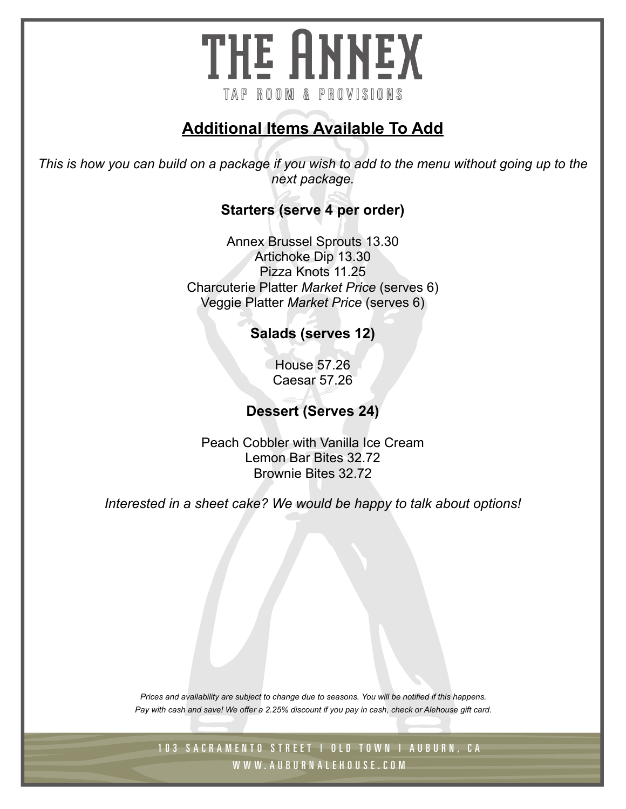# THE ANNEX TAP ROOM & PROVISIONS

## **Additional Items Available To Add**

*This is how you can build on a package if you wish to add to the menu without going up to the next package.*

#### **Starters (serve 4 per order)**

Annex Brussel Sprouts 13.30 Artichoke Dip 13.30 Pizza Knots 11.25 Charcuterie Platter *Market Price* (serves 6) Veggie Platter *Market Price* (serves 6)

**Salads (serves 12)**

House 57.26 Caesar 57.26

### **Dessert (Serves 24)**

Peach Cobbler with Vanilla Ice Cream Lemon Bar Bites 32.72 Brownie Bites 32.72

*Interested in a sheet cake? We would be happy to talk about options!* 

*Prices and availability are subject to change due to seasons. You will be notified if this happens. Pay with cash and save! We offer a 2.25% discount if you pay in cash, check or Alehouse gift card.*

103 SACRAMENTO STREET | OLD TOWN | AUBURN, CA W W W. AU B U R N A L E H O U S E . C O M